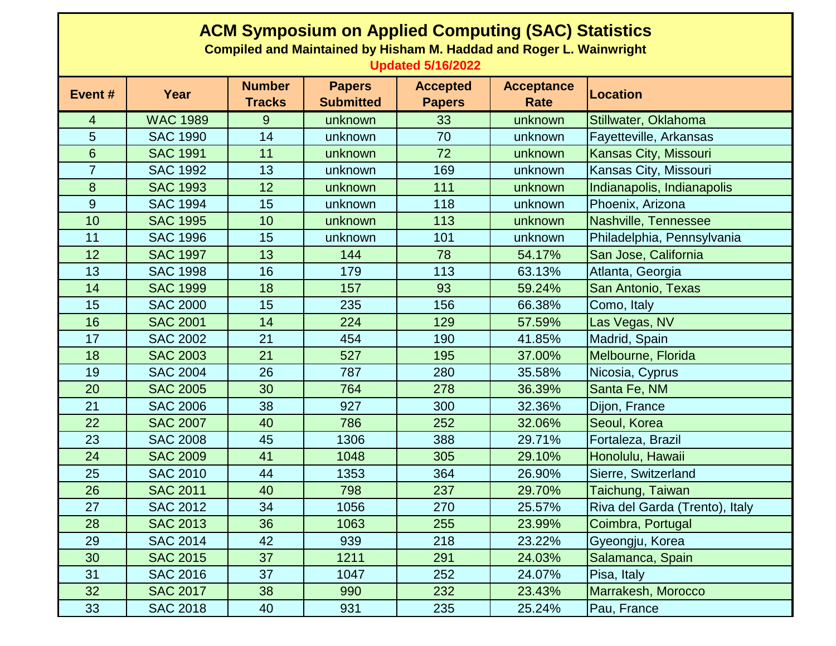| <b>ACM Symposium on Applied Computing (SAC) Statistics</b><br><b>Compiled and Maintained by Hisham M. Haddad and Roger L. Wainwright</b><br><b>Updated 5/16/2022</b> |                 |                                |                                   |                                  |                                  |                                |  |  |  |  |
|----------------------------------------------------------------------------------------------------------------------------------------------------------------------|-----------------|--------------------------------|-----------------------------------|----------------------------------|----------------------------------|--------------------------------|--|--|--|--|
| Event#                                                                                                                                                               | Year            | <b>Number</b><br><b>Tracks</b> | <b>Papers</b><br><b>Submitted</b> | <b>Accepted</b><br><b>Papers</b> | <b>Acceptance</b><br><b>Rate</b> | <b>Location</b>                |  |  |  |  |
| 4                                                                                                                                                                    | <b>WAC 1989</b> | 9                              | unknown                           | 33                               | unknown                          | Stillwater, Oklahoma           |  |  |  |  |
| 5                                                                                                                                                                    | <b>SAC 1990</b> | 14                             | unknown                           | 70                               | unknown                          | Fayetteville, Arkansas         |  |  |  |  |
| 6                                                                                                                                                                    | <b>SAC 1991</b> | 11                             | unknown                           | 72                               | unknown                          | Kansas City, Missouri          |  |  |  |  |
| $\overline{7}$                                                                                                                                                       | <b>SAC 1992</b> | 13                             | unknown                           | 169                              | unknown                          | Kansas City, Missouri          |  |  |  |  |
| 8                                                                                                                                                                    | <b>SAC 1993</b> | 12                             | unknown                           | 111                              | unknown                          | Indianapolis, Indianapolis     |  |  |  |  |
| 9                                                                                                                                                                    | <b>SAC 1994</b> | 15                             | unknown                           | 118                              | unknown                          | Phoenix, Arizona               |  |  |  |  |
| 10                                                                                                                                                                   | <b>SAC 1995</b> | 10                             | unknown                           | 113                              | unknown                          | Nashville, Tennessee           |  |  |  |  |
| 11                                                                                                                                                                   | <b>SAC 1996</b> | 15                             | unknown                           | 101                              | unknown                          | Philadelphia, Pennsylvania     |  |  |  |  |
| 12                                                                                                                                                                   | <b>SAC 1997</b> | 13                             | 144                               | 78                               | 54.17%                           | San Jose, California           |  |  |  |  |
| 13                                                                                                                                                                   | <b>SAC 1998</b> | 16                             | 179                               | 113                              | 63.13%                           | Atlanta, Georgia               |  |  |  |  |
| 14                                                                                                                                                                   | <b>SAC 1999</b> | 18                             | 157                               | 93                               | 59.24%                           | San Antonio, Texas             |  |  |  |  |
| 15                                                                                                                                                                   | <b>SAC 2000</b> | 15                             | 235                               | 156                              | 66.38%                           | Como, Italy                    |  |  |  |  |
| 16                                                                                                                                                                   | <b>SAC 2001</b> | 14                             | 224                               | 129                              | 57.59%                           | Las Vegas, NV                  |  |  |  |  |
| 17                                                                                                                                                                   | <b>SAC 2002</b> | 21                             | 454                               | 190                              | 41.85%                           | Madrid, Spain                  |  |  |  |  |
| 18                                                                                                                                                                   | <b>SAC 2003</b> | 21                             | 527                               | 195                              | 37.00%                           | Melbourne, Florida             |  |  |  |  |
| 19                                                                                                                                                                   | <b>SAC 2004</b> | 26                             | 787                               | 280                              | 35.58%                           | Nicosia, Cyprus                |  |  |  |  |
| 20                                                                                                                                                                   | <b>SAC 2005</b> | 30                             | 764                               | 278                              | 36.39%                           | Santa Fe, NM                   |  |  |  |  |
| 21                                                                                                                                                                   | <b>SAC 2006</b> | 38                             | 927                               | 300                              | 32.36%                           | Dijon, France                  |  |  |  |  |
| 22                                                                                                                                                                   | <b>SAC 2007</b> | 40                             | 786                               | 252                              | 32.06%                           | Seoul, Korea                   |  |  |  |  |
| 23                                                                                                                                                                   | <b>SAC 2008</b> | 45                             | 1306                              | 388                              | 29.71%                           | Fortaleza, Brazil              |  |  |  |  |
| 24                                                                                                                                                                   | <b>SAC 2009</b> | 41                             | 1048                              | 305                              | 29.10%                           | Honolulu, Hawaii               |  |  |  |  |
| 25                                                                                                                                                                   | <b>SAC 2010</b> | 44                             | 1353                              | 364                              | 26.90%                           | Sierre, Switzerland            |  |  |  |  |
| 26                                                                                                                                                                   | <b>SAC 2011</b> | 40                             | 798                               | 237                              | 29.70%                           | Taichung, Taiwan               |  |  |  |  |
| 27                                                                                                                                                                   | <b>SAC 2012</b> | 34                             | 1056                              | 270                              | 25.57%                           | Riva del Garda (Trento), Italy |  |  |  |  |
| 28                                                                                                                                                                   | <b>SAC 2013</b> | 36                             | 1063                              | 255                              | 23.99%                           | Coimbra, Portugal              |  |  |  |  |
| 29                                                                                                                                                                   | <b>SAC 2014</b> | 42                             | 939                               | 218                              | 23.22%                           | Gyeongju, Korea                |  |  |  |  |
| 30                                                                                                                                                                   | <b>SAC 2015</b> | 37                             | 1211                              | 291                              | 24.03%                           | Salamanca, Spain               |  |  |  |  |
| 31                                                                                                                                                                   | <b>SAC 2016</b> | 37                             | 1047                              | 252                              | 24.07%                           | Pisa, Italy                    |  |  |  |  |
| 32                                                                                                                                                                   | <b>SAC 2017</b> | 38                             | 990                               | 232                              | 23.43%                           | Marrakesh, Morocco             |  |  |  |  |
| 33                                                                                                                                                                   | <b>SAC 2018</b> | 40                             | 931                               | 235                              | 25.24%                           | Pau, France                    |  |  |  |  |